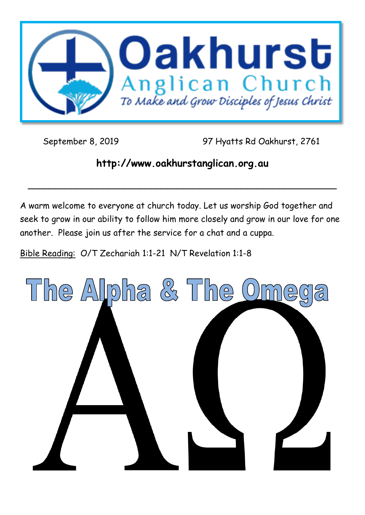

September 8, 2019 97 Hyatts Rd Oakhurst, 2761

# **http://www.oakhurstanglican.org.au**

**\_\_\_\_\_\_\_\_\_\_\_\_\_\_\_\_\_\_\_\_\_\_\_\_\_\_\_\_\_\_\_\_\_\_\_\_\_\_\_\_\_\_\_\_\_\_\_\_\_\_\_\_\_\_\_\_\_\_**

A warm welcome to everyone at church today. Let us worship God together and seek to grow in our ability to follow him more closely and grow in our love for one another. Please join us after the service for a chat and a cuppa.

Bible Reading: O/T Zechariah 1:1-21 N/T Revelation 1:1-8

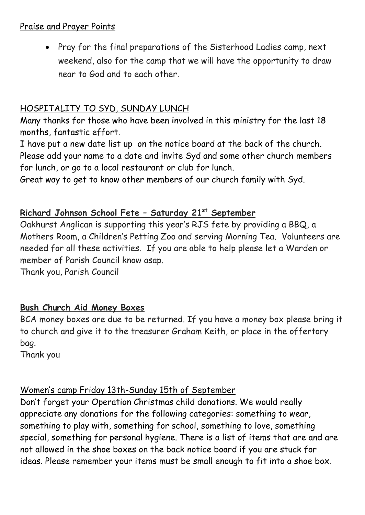#### Praise and Prayer Points

• Pray for the final preparations of the Sisterhood Ladies camp, next weekend, also for the camp that we will have the opportunity to draw near to God and to each other.

## HOSPITALITY TO SYD, SUNDAY LUNCH

Many thanks for those who have been involved in this ministry for the last 18 months, fantastic effort.

I have put a new date list up on the notice board at the back of the church. Please add your name to a date and invite Syd and some other church members for lunch, or go to a local restaurant or club for lunch.

Great way to get to know other members of our church family with Syd.

## **Richard Johnson School Fete – Saturday 21st September**

Oakhurst Anglican is supporting this year's RJS fete by providing a BBQ, a Mothers Room, a Children's Petting Zoo and serving Morning Tea. Volunteers are needed for all these activities. If you are able to help please let a Warden or member of Parish Council know asap.

Thank you, Parish Council

## **Bush Church Aid Money Boxes**

BCA money boxes are due to be returned. If you have a money box please bring it to church and give it to the treasurer Graham Keith, or place in the offertory bag.

Thank you

# Women's camp Friday 13th-Sunday 15th of September

Don't forget your Operation Christmas child donations. We would really appreciate any donations for the following categories: something to wear, something to play with, something for school, something to love, something special, something for personal hygiene. There is a list of items that are and are not allowed in the shoe boxes on the back notice board if you are stuck for ideas. Please remember your items must be small enough to fit into a shoe box.